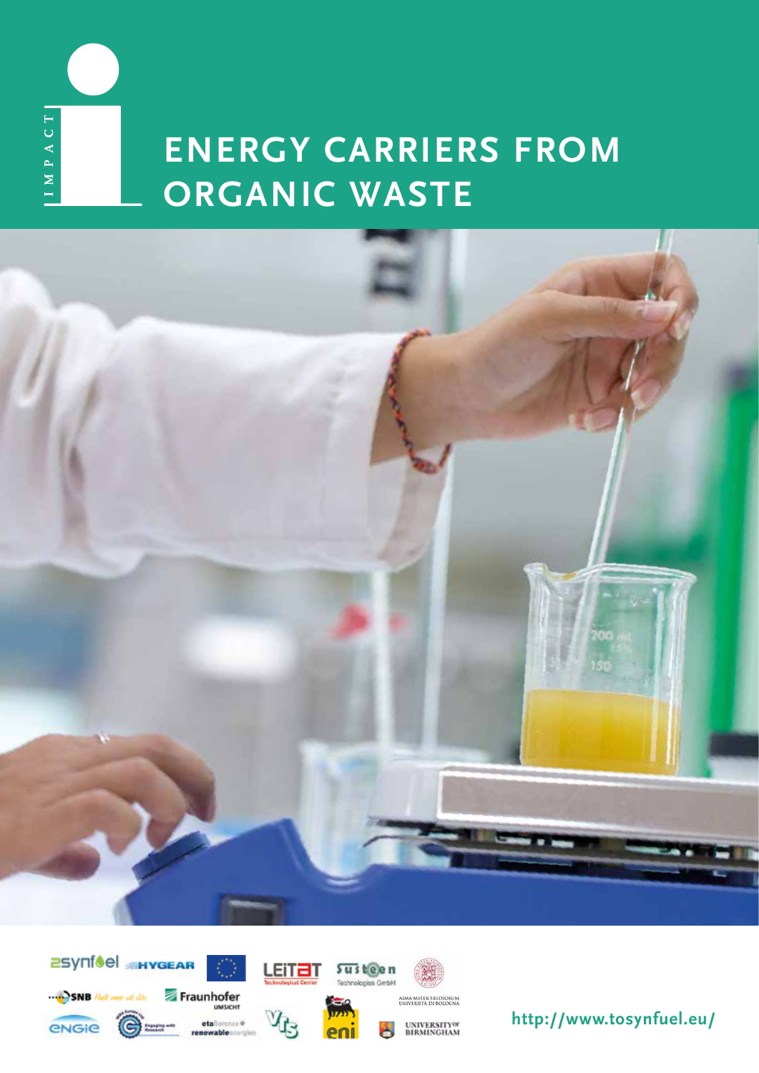

## **ENERGY CARRIERS FROM ORGANIC WASTE**





**http://www.tosynfuel.eu/**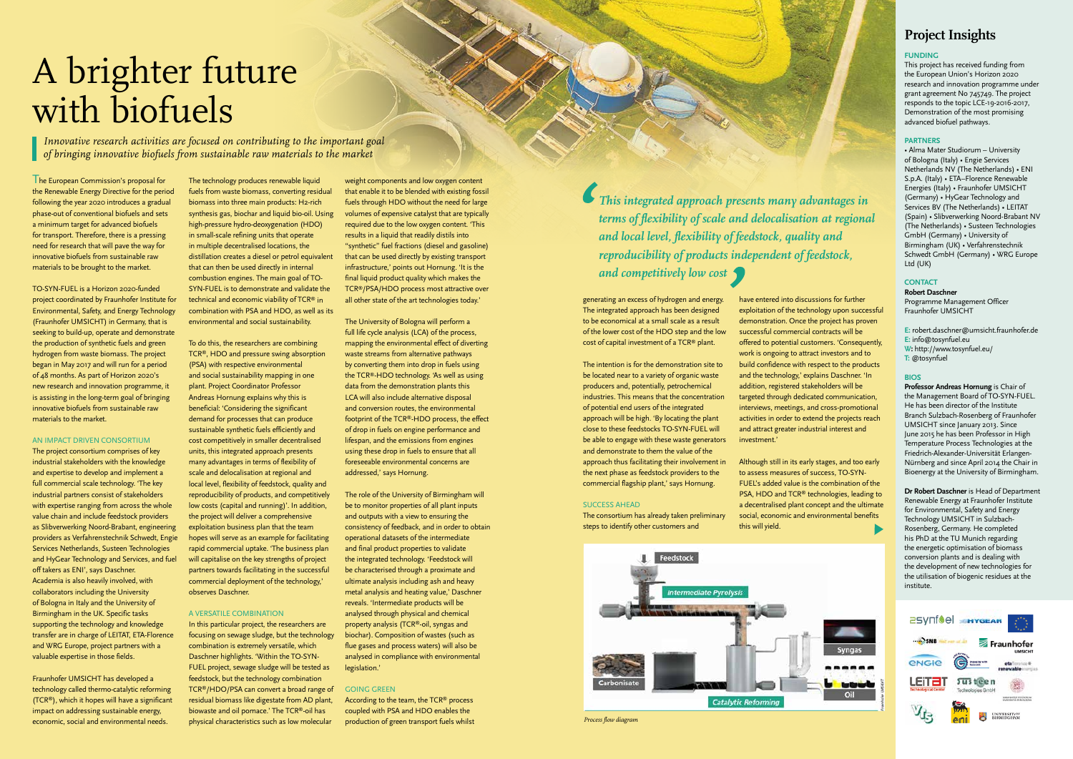The European Commission's proposal for the Renewable Energy Directive for the period following the year 2020 introduces a gradual phase-out of conventional biofuels and sets a minimum target for advanced biofuels for transport. Therefore, there is a pressing need for research that will pave the way for innovative biofuels from sustainable raw materials to be brought to the market.

TO-SYN-FUEL is a Horizon 2020-funded project coordinated by Fraunhofer Institute for Environmental, Safety, and Energy Technology (Fraunhofer UMSICHT) in Germany, that is seeking to build-up, operate and demonstrate the production of synthetic fuels and green hydrogen from waste biomass. The project began in May 2017 and will run for a period of 48 months. As part of Horizon 2020's new research and innovation programme, it is assisting in the long-term goal of bringing innovative biofuels from sustainable raw materials to the market.

#### AN IMPACT DRIVEN CONSORTIUM

The project consortium comprises of key industrial stakeholders with the knowledge and expertise to develop and implement a full commercial scale technology. 'The key industrial partners consist of stakeholders with expertise ranging from across the whole value chain and include feedstock providers as Slibverwerking Noord-Brabant, engineering providers as Verfahrenstechnik Schwedt, Engie Services Netherlands, Susteen Technologies and HyGear Technology and Services, and fuel off takers as ENI', says Daschner. Academia is also heavily involved, with collaborators including the University of Bologna in Italy and the University of Birmingham in the UK. Specific tasks supporting the technology and knowledge transfer are in charge of LEITAT, ETA-Florence and WRG Europe, project partners with a valuable expertise in those fields.

Fraunhofer UMSICHT has developed a technology called thermo-catalytic reforming (TCR®), which it hopes will have a significant impact on addressing sustainable energy, economic, social and environmental needs.

The technology produces renewable liquid fuels from waste biomass, converting residual biomass into three main products: H2-rich synthesis gas, biochar and liquid bio-oil. Using high-pressure hydro-deoxygenation (HDO) in small-scale refining units that operate in multiple decentralised locations, the distillation creates a diesel or petrol equivalent that can then be used directly in internal combustion engines. The main goal of TO-SYN-FUEL is to demonstrate and validate the technical and economic viability of TCR® in combination with PSA and HDO, as well as its environmental and social sustainability.

> The role of the University of Birmingham will be to monitor properties of all plant inputs and outputs with a view to ensuring the consistency of feedback, and in order to obtain operational datasets of the intermediate and final product properties to validate the integrated technology. 'Feedstock will be characterised through a proximate and ultimate analysis including ash and heavy metal analysis and heating value,' Daschner reveals. 'Intermediate products will be analysed through physical and chemical property analysis (TCR®-oil, syngas and biochar). Composition of wastes (such as flue gases and process waters) will also be analysed in compliance with environmental legislation.<sup>'</sup>

# A brighter future with biofuels

To do this, the researchers are combining TCR®, HDO and pressure swing absorption (PSA) with respective environmental and social sustainability mapping in one plant. Project Coordinator Professor Andreas Hornung explains why this is beneficial: 'Considering the significant demand for processes that can produce sustainable synthetic fuels efficiently and cost competitively in smaller decentralised units, this integrated approach presents many advantages in terms of flexibility of scale and delocalisation at regional and local level, flexibility of feedstock, quality and reproducibility of products, and competitively low costs (capital and running)'. In addition, the project will deliver a comprehensive exploitation business plan that the team hopes will serve as an example for facilitating rapid commercial uptake. 'The business plan will capitalise on the key strengths of project partners towards facilitating in the successful commercial deployment of the technology,' observes Daschner.

#### A VERSATILE COMBINATION

In this particular project, the researchers are focusing on sewage sludge, but the technology combination is extremely versatile, which Daschner highlights. 'Within the TO-SYN-FUEL project, sewage sludge will be tested as feedstock, but the technology combination TCR®/HDO/PSA can convert a broad range of residual biomass like digestate from AD plant, biowaste and oil pomace.' The TCR®-oil has physical characteristics such as low molecular

weight components and low oxygen content that enable it to be blended with existing fossil fuels through HDO without the need for large volumes of expensive catalyst that are typically required due to the low oxygen content. 'This results in a liquid that readily distils into "synthetic" fuel fractions (diesel and gasoline) that can be used directly by existing transport infrastructure,' points out Hornung. 'It is the final liquid product quality which makes the TCR®/PSA/HDO process most attractive over all other state of the art technologies today.'

The University of Bologna will perform a full life cycle analysis (LCA) of the process, mapping the environmental effect of diverting waste streams from alternative pathways by converting them into drop in fuels using the TCR®-HDO technology. 'As well as using data from the demonstration plants this LCA will also include alternative disposal and conversion routes, the environmental footprint of the TCR®-HDO process, the effect of drop in fuels on engine performance and lifespan, and the emissions from engines using these drop in fuels to ensure that all foreseeable environmental concerns are addressed,' says Hornung.

#### GOING GREEN

According to the team, the TCR® process coupled with PSA and HDO enables the production of green transport fuels whilst

*Innovative research activities are focused on contributing to the important goal of bringing innovative biofuels from sustainable raw materials to the market*

### **Project Insights**

#### **FUNDING**

This project has received funding from the European Union's Horizon 2020 research and innovation programme under grant agreement No 745749. The project responds to the topic LCE-19-2016-2017, Demonstration of the most promising advanced biofuel pathways.

#### **PAPTNERS**

• Alma Mater Studiorum – University of Bologna (Italy) • Engie Services Netherlands NV (The Netherlands) • ENI S.p.A. (Italy) • ETA–Florence Renewable Energies (Italy) • Fraunhofer UMSICHT (Germany) • HyGear Technology and Services BV (The Netherlands) • LEITAT (Spain) • Slibverwerking Noord-Brabant NV (The Netherlands) • Susteen Technologies GmbH (Germany) • University of Birmingham (UK) • Verfahrenstechnik Schwedt GmbH (Germany) • WRG Europe Ltd (UK)

#### **CONTACT**

**Robert Daschner** Programme Management Officer Fraunhofer UMSICHT

**E:** robert.daschner@umsicht.fraunhofer.de **E:** info@tosynfuel.eu **W:** http://www.tosynfuel.eu/ **T:** @tosynfuel

#### **BIOS**

**Professor Andreas Hornung** is Chair of the Management Board of TO-SYN-FUEL. He has been director of the Institute Branch Sulzbach-Rosenberg of Fraunhofer UMSICHT since January 2013. Since June 2015 he has been Professor in High Temperature Process Technologies at the Friedrich-Alexander-Universität Erlangen-Nürnberg and since April 2014 the Chair in Bioenergy at the University of Birmingham.

**Dr Robert Daschner** is Head of Department Renewable Energy at Fraunhofer Institute for Environmental, Safety and Energy Technology UMSICHT in Sulzbach-Rosenberg, Germany. He completed his PhD at the TU Munich regarding the energetic optimisation of biomass conversion plants and is dealing with the development of new technologies for the utilisation of biogenic residues at the institute.



generating an excess of hydrogen and energy. The integrated approach has been designed to be economical at a small scale as a result of the lower cost of the HDO step and the low cost of capital investment of a TCR® plant.

The intention is for the demonstration site to be located near to a variety of organic waste producers and, potentially, petrochemical industries. This means that the concentration of potential end users of the integrated approach will be high. 'By locating the plant close to these feedstocks TO-SYN-FUEL will be able to engage with these waste generators and demonstrate to them the value of the approach thus facilitating their involvement in the next phase as feedstock providers to the commercial flagship plant,' says Hornung.

#### SUCCESS AHEAD

The consortium has already taken preliminary steps to identify other customers and

have entered into discussions for further exploitation of the technology upon successful demonstration. Once the project has proven successful commercial contracts will be offered to potential customers. 'Consequently, work is ongoing to attract investors and to build confidence with respect to the products and the technology,' explains Daschner. 'In addition, registered stakeholders will be targeted through dedicated communication, interviews, meetings, and cross-promotional activities in order to extend the projects reach and attract greater industrial interest and investment.'

Although still in its early stages, and too early to assess measures of success, TO-SYN-FUEL's added value is the combination of the PSA, HDO and TCR® technologies, leading to a decentralised plant concept and the ultimate social, economic and environmental benefits this will yield.



*This integrated approach presents many advantages in terms of flexibility of scale and delocalisation at regional and local level, flexibility of feedstock, quality and reproducibility of products independent of feedstock, and competitively low cost*

*Process flow diagram*